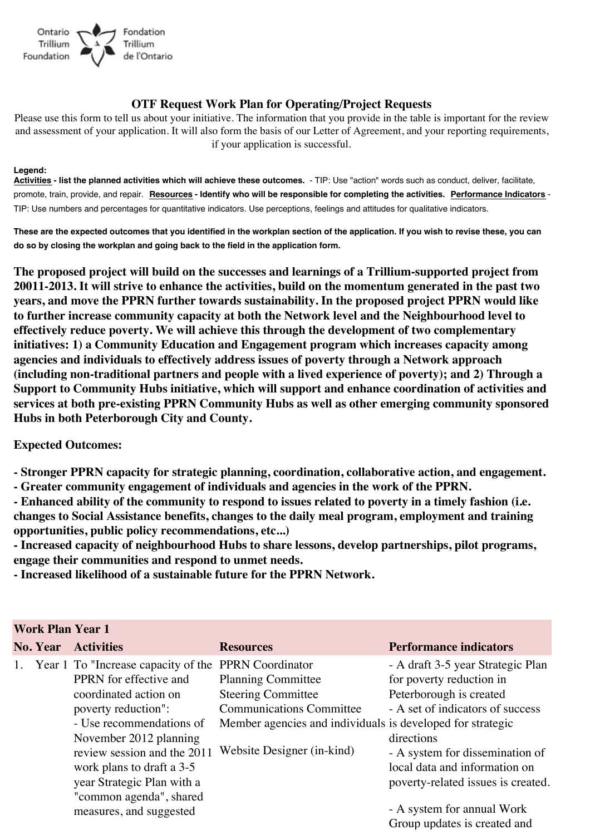

## **OTF Request Work Plan for Operating/Project Requests**

Please use this form to tell us about your initiative. The information that you provide in the table is important for the review and assessment of your application. It will also form the basis of our Letter of Agreement, and your reporting requirements, if your application is successful.

## **Legend:**

**Activities - list the planned activities which will achieve these outcomes.** - TIP: Use "action" words such as conduct, deliver, facilitate, promote, train, provide, and repair. **Resources - Identify who will be responsible for completing the activities. Performance Indicators** - TIP: Use numbers and percentages for quantitative indicators. Use perceptions, feelings and attitudes for qualitative indicators.

**These are the expected outcomes that you identified in the workplan section of the application. If you wish to revise these, you can do so by closing the workplan and going back to the field in the application form.**

**The proposed project will build on the successes and learnings of a Trillium-supported project from 20011-2013. It will strive to enhance the activities, build on the momentum generated in the past two years, and move the PPRN further towards sustainability. In the proposed project PPRN would like to further increase community capacity at both the Network level and the Neighbourhood level to effectively reduce poverty. We will achieve this through the development of two complementary initiatives: 1) a Community Education and Engagement program which increases capacity among agencies and individuals to effectively address issues of poverty through a Network approach (including non-traditional partners and people with a lived experience of poverty); and 2) Through a Support to Community Hubs initiative, which will support and enhance coordination of activities and services at both pre-existing PPRN Community Hubs as well as other emerging community sponsored Hubs in both Peterborough City and County.**

## **Expected Outcomes:**

**- Stronger PPRN capacity for strategic planning, coordination, collaborative action, and engagement.**

- **Greater community engagement of individuals and agencies in the work of the PPRN.**
- **Enhanced ability of the community to respond to issues related to poverty in a timely fashion (i.e. changes to Social Assistance benefits, changes to the daily meal program, employment and training opportunities, public policy recommendations, etc...)**

**- Increased capacity of neighbourhood Hubs to share lessons, develop partnerships, pilot programs, engage their communities and respond to unmet needs.**

**- Increased likelihood of a sustainable future for the PPRN Network.**

| <b>Work Plan Year 1</b> |                 |                                                                                                                                                                                                                                                                                                                     |                                                                                                                                                                                                                  |                                                                                                                                                                                                                                                                                                                    |  |
|-------------------------|-----------------|---------------------------------------------------------------------------------------------------------------------------------------------------------------------------------------------------------------------------------------------------------------------------------------------------------------------|------------------------------------------------------------------------------------------------------------------------------------------------------------------------------------------------------------------|--------------------------------------------------------------------------------------------------------------------------------------------------------------------------------------------------------------------------------------------------------------------------------------------------------------------|--|
|                         | <b>No. Year</b> | <b>Activities</b>                                                                                                                                                                                                                                                                                                   | <b>Resources</b>                                                                                                                                                                                                 | <b>Performance indicators</b>                                                                                                                                                                                                                                                                                      |  |
| 1.                      |                 | Year 1 To "Increase capacity of the<br>PPRN for effective and<br>coordinated action on<br>poverty reduction":<br>- Use recommendations of<br>November 2012 planning<br>review session and the 2011<br>work plans to draft a 3-5<br>year Strategic Plan with a<br>"common agenda", shared<br>measures, and suggested | <b>PPRN</b> Coordinator<br><b>Planning Committee</b><br><b>Steering Committee</b><br><b>Communications Committee</b><br>Member agencies and individuals is developed for strategic<br>Website Designer (in-kind) | - A draft 3-5 year Strategic Plan<br>for poverty reduction in<br>Peterborough is created<br>- A set of indicators of success<br>directions<br>- A system for dissemination of<br>local data and information on<br>poverty-related issues is created.<br>- A system for annual Work<br>Group updates is created and |  |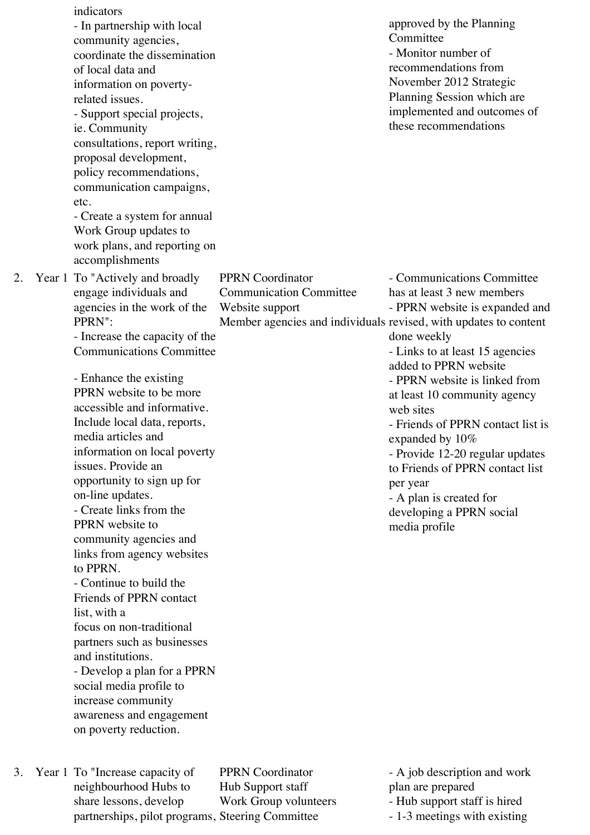|    | indicators<br>- In partnership with local<br>community agencies,<br>coordinate the dissemination<br>of local data and<br>information on poverty-<br>related issues.<br>- Support special projects,<br>ie. Community<br>consultations, report writing,<br>proposal development,<br>policy recommendations,<br>communication campaigns,<br>etc.<br>- Create a system for annual<br>Work Group updates to<br>work plans, and reporting on<br>accomplishments                                                                                                                                                                                                                                                                                                                                                                              |                                                                                                                                                  | approved by the Planning<br>Committee<br>- Monitor number of<br>recommendations from<br>November 2012 Strategic<br>Planning Session which are<br>implemented and outcomes of<br>these recommendations                                                                                                                                                                                                                                                                 |
|----|----------------------------------------------------------------------------------------------------------------------------------------------------------------------------------------------------------------------------------------------------------------------------------------------------------------------------------------------------------------------------------------------------------------------------------------------------------------------------------------------------------------------------------------------------------------------------------------------------------------------------------------------------------------------------------------------------------------------------------------------------------------------------------------------------------------------------------------|--------------------------------------------------------------------------------------------------------------------------------------------------|-----------------------------------------------------------------------------------------------------------------------------------------------------------------------------------------------------------------------------------------------------------------------------------------------------------------------------------------------------------------------------------------------------------------------------------------------------------------------|
| 2. | Year 1 To "Actively and broadly<br>engage individuals and<br>agencies in the work of the<br>PPRN":<br>- Increase the capacity of the<br><b>Communications Committee</b><br>- Enhance the existing<br>PPRN website to be more<br>accessible and informative.<br>Include local data, reports,<br>media articles and<br>information on local poverty<br>issues. Provide an<br>opportunity to sign up for<br>on-line updates.<br>- Create links from the<br>PPRN website to<br>community agencies and<br>links from agency websites<br>to PPRN.<br>- Continue to build the<br>Friends of PPRN contact<br>list, with a<br>focus on non-traditional<br>partners such as businesses<br>and institutions.<br>- Develop a plan for a PPRN<br>social media profile to<br>increase community<br>awareness and engagement<br>on poverty reduction. | <b>PPRN</b> Coordinator<br><b>Communication Committee</b><br>Website support<br>Member agencies and individuals revised, with updates to content | - Communications Committee<br>has at least 3 new members<br>- PPRN website is expanded and<br>done weekly<br>- Links to at least 15 agencies<br>added to PPRN website<br>- PPRN website is linked from<br>at least 10 community agency<br>web sites<br>- Friends of PPRN contact list is<br>expanded by 10%<br>- Provide 12-20 regular updates<br>to Friends of PPRN contact list<br>per year<br>- A plan is created for<br>developing a PPRN social<br>media profile |

3. Year 1 To "Increase capacity of neighbourhood Hubs to share lessons, develop partnerships, pilot programs, Steering Committee

PPRN Coordinator Hub Support staff Work Group volunteers - A job description and work plan are prepared

- Hub support staff is hired

- 1-3 meetings with existing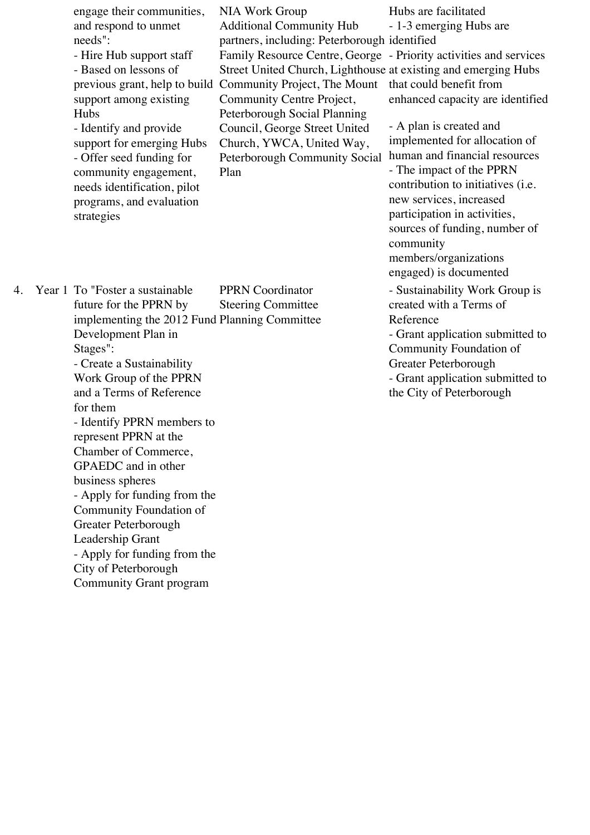engage their communities, and respond to unmet needs": - Hire Hub support staff - Based on lessons of previous grant, help to build Community Project, The Mount support among existing Hubs - Identify and provide support for emerging Hubs - Offer seed funding for community engagement, needs identification, pilot programs, and evaluation strategies NIA Work Group Additional Community Hub partners, including: Peterborough identified Community Centre Project, Peterborough Social Planning Council, George Street United Church, YWCA, United Way, Peterborough Community Social Plan

Family Resource Centre, George - Priority activities and services Street United Church, Lighthouse at existing and emerging Hubs Hubs are facilitated - 1-3 emerging Hubs are that could benefit from enhanced capacity are identified

> - A plan is created and implemented for allocation of human and financial resources - The impact of the PPRN contribution to initiatives (i.e. new services, increased participation in activities, sources of funding, number of community members/organizations engaged) is documented

> - Sustainability Work Group is created with a Terms of Reference

- Grant application submitted to Community Foundation of Greater Peterborough

- Grant application submitted to the City of Peterborough

4. Year 1 To "Foster a sustainable future for the PPRN by implementing the 2012 Fund Planning Committee Development Plan in Stages": - Create a Sustainability Work Group of the PPRN and a Terms of Reference for them - Identify PPRN members to represent PPRN at the Chamber of Commerce, GPAEDC and in other business spheres - Apply for funding from the Community Foundation of Greater Peterborough Leadership Grant - Apply for funding from the City of Peterborough Community Grant program PPRN Coordinator Steering Committee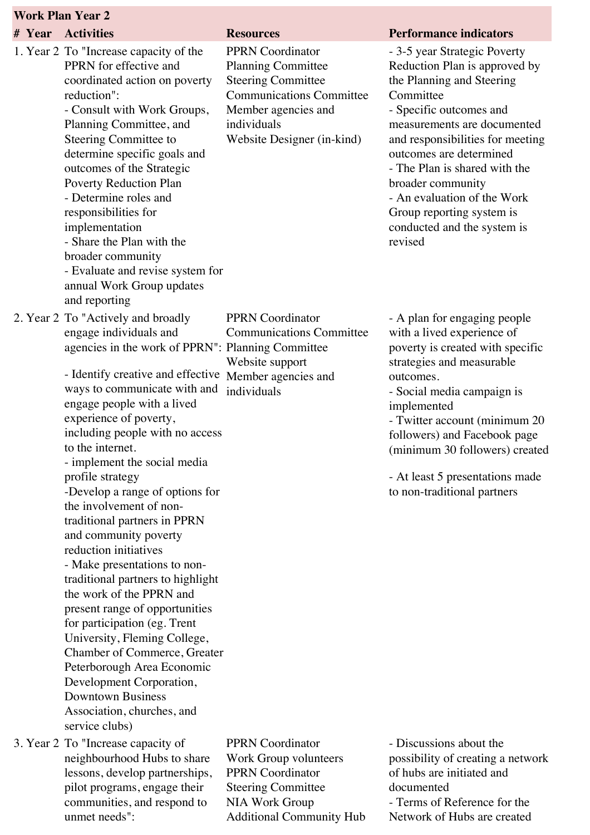| <b>Work Plan Year 2</b> |  |
|-------------------------|--|
|-------------------------|--|

| # Year | <b>Activities</b>                                                                                                                                                                                                                                                                                                                                                                                                                                                                                                                                                                                                                                                                                                                                                                                                                                                                  | <b>Resources</b>                                                                                                                                                                         | <b>Performance indicators</b>                                                                                                                                                                                                                                                                                                                                                                |
|--------|------------------------------------------------------------------------------------------------------------------------------------------------------------------------------------------------------------------------------------------------------------------------------------------------------------------------------------------------------------------------------------------------------------------------------------------------------------------------------------------------------------------------------------------------------------------------------------------------------------------------------------------------------------------------------------------------------------------------------------------------------------------------------------------------------------------------------------------------------------------------------------|------------------------------------------------------------------------------------------------------------------------------------------------------------------------------------------|----------------------------------------------------------------------------------------------------------------------------------------------------------------------------------------------------------------------------------------------------------------------------------------------------------------------------------------------------------------------------------------------|
|        | 1. Year 2 To "Increase capacity of the<br>PPRN for effective and<br>coordinated action on poverty<br>reduction":<br>- Consult with Work Groups,<br>Planning Committee, and<br>Steering Committee to<br>determine specific goals and<br>outcomes of the Strategic<br>Poverty Reduction Plan<br>- Determine roles and<br>responsibilities for<br>implementation<br>- Share the Plan with the<br>broader community<br>- Evaluate and revise system for<br>annual Work Group updates<br>and reporting                                                                                                                                                                                                                                                                                                                                                                                  | <b>PPRN</b> Coordinator<br><b>Planning Committee</b><br><b>Steering Committee</b><br><b>Communications Committee</b><br>Member agencies and<br>individuals<br>Website Designer (in-kind) | - 3-5 year Strategic Poverty<br>Reduction Plan is approved by<br>the Planning and Steering<br>Committee<br>- Specific outcomes and<br>measurements are documented<br>and responsibilities for meeting<br>outcomes are determined<br>- The Plan is shared with the<br>broader community<br>- An evaluation of the Work<br>Group reporting system is<br>conducted and the system is<br>revised |
|        | 2. Year 2 To "Actively and broadly<br>engage individuals and<br>agencies in the work of PPRN": Planning Committee<br>- Identify creative and effective<br>ways to communicate with and<br>engage people with a lived<br>experience of poverty,<br>including people with no access<br>to the internet.<br>- implement the social media<br>profile strategy<br>-Develop a range of options for<br>the involvement of non-<br>traditional partners in PPRN<br>and community poverty<br>reduction initiatives<br>- Make presentations to non-<br>traditional partners to highlight<br>the work of the PPRN and<br>present range of opportunities<br>for participation (eg. Trent<br>University, Fleming College,<br>Chamber of Commerce, Greater<br>Peterborough Area Economic<br>Development Corporation,<br><b>Downtown Business</b><br>Association, churches, and<br>service clubs) | <b>PPRN</b> Coordinator<br><b>Communications Committee</b><br>Website support<br>Member agencies and<br>individuals                                                                      | - A plan for engaging people<br>with a lived experience of<br>poverty is created with specific<br>strategies and measurable<br>outcomes.<br>- Social media campaign is<br>implemented<br>- Twitter account (minimum 20<br>followers) and Facebook page<br>(minimum 30 followers) created<br>- At least 5 presentations made<br>to non-traditional partners                                   |
|        | 3. Year 2 To "Increase capacity of<br>neighbourhood Hubs to share<br>lessons develop partnerships                                                                                                                                                                                                                                                                                                                                                                                                                                                                                                                                                                                                                                                                                                                                                                                  | <b>PPRN</b> Coordinator<br>Work Group volunteers<br>PPRN Coordinator                                                                                                                     | - Discussions about the<br>possibility of creating a network<br>of hubs are initiated and                                                                                                                                                                                                                                                                                                    |

lessons, develop partnerships, pilot programs, engage their communities, and respond to unmet needs":

PPRN Coordinator Steering Committee NIA Work Group Additional Community Hub

of hubs are initiated and documented - Terms of Reference for the Network of Hubs are created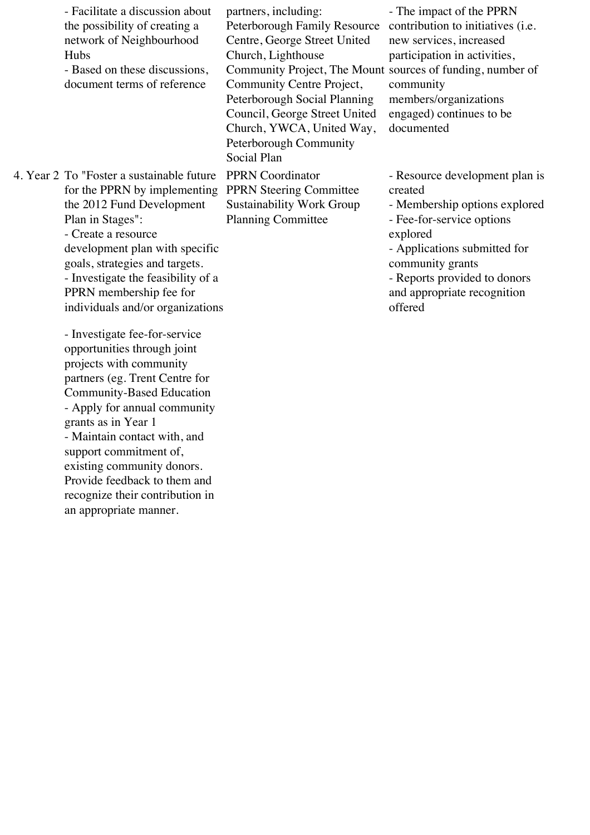| - Facilitate a discussion about<br>the possibility of creating a<br>network of Neighbourhood<br>Hubs<br>- Based on these discussions,<br>document terms of reference                                                                                                                                                                                                                               | partners, including:<br>Peterborough Family Resource<br>Centre, George Street United<br>Church, Lighthouse<br>Community Project, The Mount sources of funding, number of<br>Community Centre Project,<br>Peterborough Social Planning<br>Council, George Street United | - The impact of the PPRN<br>contribution to initiatives (i.e.<br>new services, increased<br>participation in activities,<br>community<br>members/organizations<br>engaged) continues to be                                                        |
|----------------------------------------------------------------------------------------------------------------------------------------------------------------------------------------------------------------------------------------------------------------------------------------------------------------------------------------------------------------------------------------------------|------------------------------------------------------------------------------------------------------------------------------------------------------------------------------------------------------------------------------------------------------------------------|---------------------------------------------------------------------------------------------------------------------------------------------------------------------------------------------------------------------------------------------------|
|                                                                                                                                                                                                                                                                                                                                                                                                    | Church, YWCA, United Way,<br>Peterborough Community<br>Social Plan                                                                                                                                                                                                     | documented                                                                                                                                                                                                                                        |
| 4. Year 2 To "Foster a sustainable future<br>for the PPRN by implementing<br>the 2012 Fund Development<br>Plan in Stages":<br>- Create a resource<br>development plan with specific<br>goals, strategies and targets.<br>- Investigate the feasibility of a<br>PPRN membership fee for<br>individuals and/or organizations                                                                         | <b>PPRN</b> Coordinator<br><b>PPRN Steering Committee</b><br><b>Sustainability Work Group</b><br><b>Planning Committee</b>                                                                                                                                             | - Resource development plan is<br>created<br>- Membership options explored<br>- Fee-for-service options<br>explored<br>- Applications submitted for<br>community grants<br>- Reports provided to donors<br>and appropriate recognition<br>offered |
| - Investigate fee-for-service<br>opportunities through joint<br>projects with community<br>partners (eg. Trent Centre for<br>Community-Based Education<br>- Apply for annual community<br>grants as in Year 1<br>- Maintain contact with, and<br>support commitment of,<br>existing community donors.<br>Provide feedback to them and<br>recognize their contribution in<br>an appropriate manner. |                                                                                                                                                                                                                                                                        |                                                                                                                                                                                                                                                   |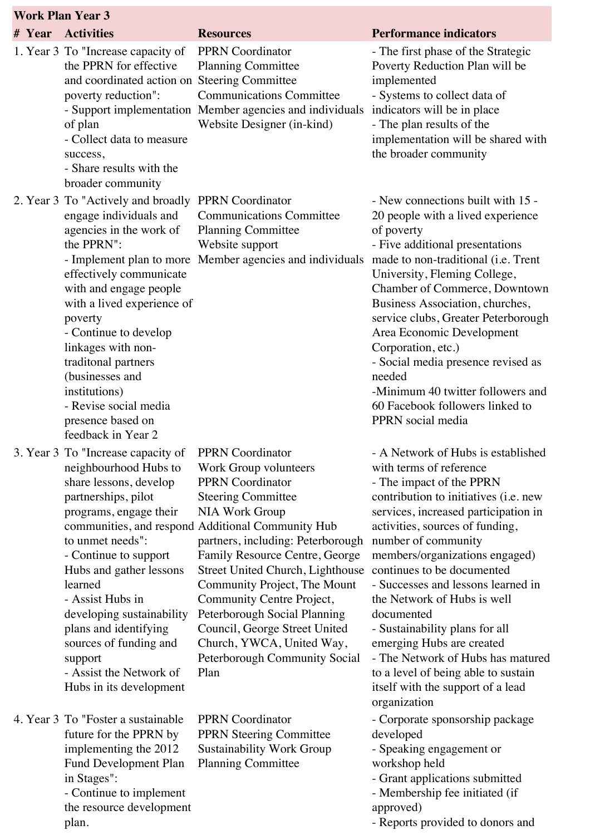| <b>Work Plan Year 3</b> |                                                                                                                                                                                                                                                                                                                                                                                                                 |                                                                                                                                                                                                                                                                                                                                                                                                                                                                     |                                                                                                                                                                                                                                                                                                                                                                                                                                                                                                                                                                                         |  |
|-------------------------|-----------------------------------------------------------------------------------------------------------------------------------------------------------------------------------------------------------------------------------------------------------------------------------------------------------------------------------------------------------------------------------------------------------------|---------------------------------------------------------------------------------------------------------------------------------------------------------------------------------------------------------------------------------------------------------------------------------------------------------------------------------------------------------------------------------------------------------------------------------------------------------------------|-----------------------------------------------------------------------------------------------------------------------------------------------------------------------------------------------------------------------------------------------------------------------------------------------------------------------------------------------------------------------------------------------------------------------------------------------------------------------------------------------------------------------------------------------------------------------------------------|--|
| # Year                  | <b>Activities</b>                                                                                                                                                                                                                                                                                                                                                                                               | <b>Resources</b>                                                                                                                                                                                                                                                                                                                                                                                                                                                    | <b>Performance indicators</b>                                                                                                                                                                                                                                                                                                                                                                                                                                                                                                                                                           |  |
|                         | 1. Year 3 To "Increase capacity of<br>the PPRN for effective<br>and coordinated action on Steering Committee<br>poverty reduction":<br>of plan<br>- Collect data to measure<br>success,<br>- Share results with the<br>broader community                                                                                                                                                                        | <b>PPRN</b> Coordinator<br><b>Planning Committee</b><br><b>Communications Committee</b><br>- Support implementation Member agencies and individuals<br>Website Designer (in-kind)                                                                                                                                                                                                                                                                                   | - The first phase of the Strategic<br>Poverty Reduction Plan will be<br>implemented<br>- Systems to collect data of<br>indicators will be in place<br>- The plan results of the<br>implementation will be shared with<br>the broader community                                                                                                                                                                                                                                                                                                                                          |  |
|                         | 2. Year 3 To "Actively and broadly PPRN Coordinator<br>engage individuals and<br>agencies in the work of<br>the PPRN":<br>effectively communicate<br>with and engage people<br>with a lived experience of<br>poverty<br>- Continue to develop<br>linkages with non-<br>traditonal partners<br>(businesses and<br>institutions)<br>- Revise social media<br>presence based on<br>feedback in Year 2              | <b>Communications Committee</b><br><b>Planning Committee</b><br>Website support<br>- Implement plan to more Member agencies and individuals                                                                                                                                                                                                                                                                                                                         | - New connections built with 15 -<br>20 people with a lived experience<br>of poverty<br>- Five additional presentations<br>made to non-traditional (i.e. Trent<br>University, Fleming College,<br>Chamber of Commerce, Downtown<br>Business Association, churches,<br>service clubs, Greater Peterborough<br>Area Economic Development<br>Corporation, etc.)<br>- Social media presence revised as<br>needed<br>-Minimum 40 twitter followers and<br>60 Facebook followers linked to<br>PPRN social media                                                                               |  |
|                         | 3. Year 3 To "Increase capacity of PPRN Coordinator<br>neighbourhood Hubs to<br>share lessons, develop<br>partnerships, pilot<br>programs, engage their<br>to unmet needs":<br>- Continue to support<br>Hubs and gather lessons<br>learned<br>- Assist Hubs in<br>developing sustainability<br>plans and identifying<br>sources of funding and<br>support<br>- Assist the Network of<br>Hubs in its development | Work Group volunteers<br><b>PPRN</b> Coordinator<br><b>Steering Committee</b><br>NIA Work Group<br>communities, and respond Additional Community Hub<br>partners, including: Peterborough<br>Family Resource Centre, George<br>Street United Church, Lighthouse<br>Community Project, The Mount<br>Community Centre Project,<br>Peterborough Social Planning<br>Council, George Street United<br>Church, YWCA, United Way,<br>Peterborough Community Social<br>Plan | - A Network of Hubs is established<br>with terms of reference<br>- The impact of the PPRN<br>contribution to initiatives (i.e. new<br>services, increased participation in<br>activities, sources of funding,<br>number of community<br>members/organizations engaged)<br>continues to be documented<br>- Successes and lessons learned in<br>the Network of Hubs is well<br>documented<br>- Sustainability plans for all<br>emerging Hubs are created<br>- The Network of Hubs has matured<br>to a level of being able to sustain<br>itself with the support of a lead<br>organization |  |
|                         | 4. Year 3 To "Foster a sustainable"<br>future for the PPRN by<br>implementing the 2012<br><b>Fund Development Plan</b><br>in Stages":<br>- Continue to implement<br>the resource development                                                                                                                                                                                                                    | <b>PPRN</b> Coordinator<br><b>PPRN Steering Committee</b><br><b>Sustainability Work Group</b><br><b>Planning Committee</b>                                                                                                                                                                                                                                                                                                                                          | - Corporate sponsorship package<br>developed<br>- Speaking engagement or<br>workshop held<br>- Grant applications submitted<br>- Membership fee initiated (if<br>approved)                                                                                                                                                                                                                                                                                                                                                                                                              |  |

- Reports provided to donors and

T,

plan.